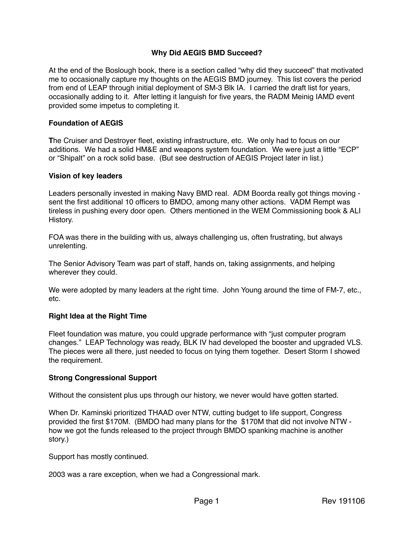## **Why Did AEGIS BMD Succeed?**

At the end of the Boslough book, there is a section called "why did they succeed" that motivated me to occasionally capture my thoughts on the AEGIS BMD journey. This list covers the period from end of LEAP through initial deployment of SM-3 Blk IA. I carried the draft list for years, occasionally adding to it. After letting it languish for five years, the RADM Meinig IAMD event provided some impetus to completing it.

#### **Foundation of AEGIS**

**T**he Cruiser and Destroyer fleet, existing infrastructure, etc. We only had to focus on our additions. We had a solid HM&E and weapons system foundation. We were just a little "ECP" or "Shipalt" on a rock solid base. (But see destruction of AEGIS Project later in list.)

#### **Vision of key leaders**

Leaders personally invested in making Navy BMD real. ADM Boorda really got things moving sent the first additional 10 officers to BMDO, among many other actions. VADM Rempt was tireless in pushing every door open. Others mentioned in the WEM Commissioning book & ALI History.

FOA was there in the building with us, always challenging us, often frustrating, but always unrelenting.

The Senior Advisory Team was part of staff, hands on, taking assignments, and helping wherever they could.

We were adopted by many leaders at the right time. John Young around the time of FM-7, etc., etc.

#### **Right Idea at the Right Time**

Fleet foundation was mature, you could upgrade performance with "just computer program changes." LEAP Technology was ready, BLK IV had developed the booster and upgraded VLS. The pieces were all there, just needed to focus on tying them together. Desert Storm I showed the requirement.

### **Strong Congressional Support**

Without the consistent plus ups through our history, we never would have gotten started.

When Dr. Kaminski prioritized THAAD over NTW, cutting budget to life support, Congress provided the first \$170M. (BMDO had many plans for the \$170M that did not involve NTW how we got the funds released to the project through BMDO spanking machine is another story.)

Support has mostly continued.

2003 was a rare exception, when we had a Congressional mark.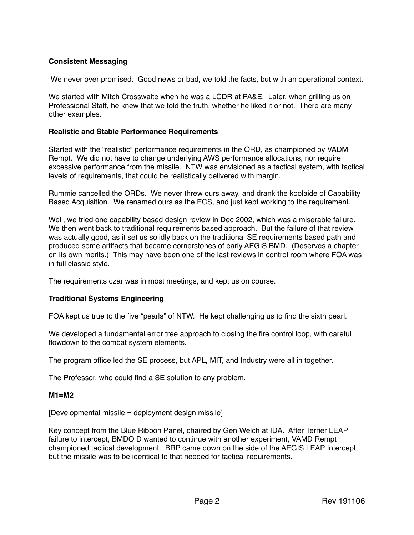# **Consistent Messaging**

We never over promised. Good news or bad, we told the facts, but with an operational context.

We started with Mitch Crosswaite when he was a LCDR at PA&E. Later, when grilling us on Professional Staff, he knew that we told the truth, whether he liked it or not. There are many other examples.

#### **Realistic and Stable Performance Requirements**

Started with the "realistic" performance requirements in the ORD, as championed by VADM Rempt. We did not have to change underlying AWS performance allocations, nor require excessive performance from the missile. NTW was envisioned as a tactical system, with tactical levels of requirements, that could be realistically delivered with margin.

Rummie cancelled the ORDs. We never threw ours away, and drank the koolaide of Capability Based Acquisition. We renamed ours as the ECS, and just kept working to the requirement.

Well, we tried one capability based design review in Dec 2002, which was a miserable failure. We then went back to traditional requirements based approach. But the failure of that review was actually good, as it set us solidly back on the traditional SE requirements based path and produced some artifacts that became cornerstones of early AEGIS BMD. (Deserves a chapter on its own merits.) This may have been one of the last reviews in control room where FOA was in full classic style.

The requirements czar was in most meetings, and kept us on course.

### **Traditional Systems Engineering**

FOA kept us true to the five "pearls" of NTW. He kept challenging us to find the sixth pearl.

We developed a fundamental error tree approach to closing the fire control loop, with careful flowdown to the combat system elements.

The program office led the SE process, but APL, MIT, and Industry were all in together.

The Professor, who could find a SE solution to any problem.

### **M1=M2**

[Developmental missile = deployment design missile]

Key concept from the Blue Ribbon Panel, chaired by Gen Welch at IDA. After Terrier LEAP failure to intercept, BMDO D wanted to continue with another experiment, VAMD Rempt championed tactical development. BRP came down on the side of the AEGIS LEAP Intercept, but the missile was to be identical to that needed for tactical requirements.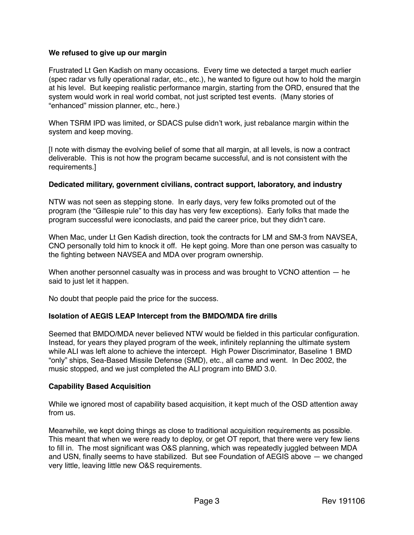### **We refused to give up our margin**

Frustrated Lt Gen Kadish on many occasions. Every time we detected a target much earlier (spec radar vs fully operational radar, etc., etc.), he wanted to figure out how to hold the margin at his level. But keeping realistic performance margin, starting from the ORD, ensured that the system would work in real world combat, not just scripted test events. (Many stories of "enhanced" mission planner, etc., here.)

When TSRM IPD was limited, or SDACS pulse didn't work, just rebalance margin within the system and keep moving.

[I note with dismay the evolving belief of some that all margin, at all levels, is now a contract deliverable. This is not how the program became successful, and is not consistent with the requirements.]

### **Dedicated military, government civilians, contract support, laboratory, and industry**

NTW was not seen as stepping stone. In early days, very few folks promoted out of the program (the "Gillespie rule" to this day has very few exceptions). Early folks that made the program successful were iconoclasts, and paid the career price, but they didn't care.

When Mac, under Lt Gen Kadish direction, took the contracts for LM and SM-3 from NAVSEA, CNO personally told him to knock it off. He kept going. More than one person was casualty to the fighting between NAVSEA and MDA over program ownership.

When another personnel casualty was in process and was brought to VCNO attention — he said to just let it happen.

No doubt that people paid the price for the success.

### **Isolation of AEGIS LEAP Intercept from the BMDO/MDA fire drills**

Seemed that BMDO/MDA never believed NTW would be fielded in this particular configuration. Instead, for years they played program of the week, infinitely replanning the ultimate system while ALI was left alone to achieve the intercept. High Power Discriminator, Baseline 1 BMD "only" ships, Sea-Based Missile Defense (SMD), etc., all came and went. In Dec 2002, the music stopped, and we just completed the ALI program into BMD 3.0.

### **Capability Based Acquisition**

While we ignored most of capability based acquisition, it kept much of the OSD attention away from us.

Meanwhile, we kept doing things as close to traditional acquisition requirements as possible. This meant that when we were ready to deploy, or get OT report, that there were very few liens to fill in. The most significant was O&S planning, which was repeatedly juggled between MDA and USN, finally seems to have stabilized. But see Foundation of AEGIS above — we changed very little, leaving little new O&S requirements.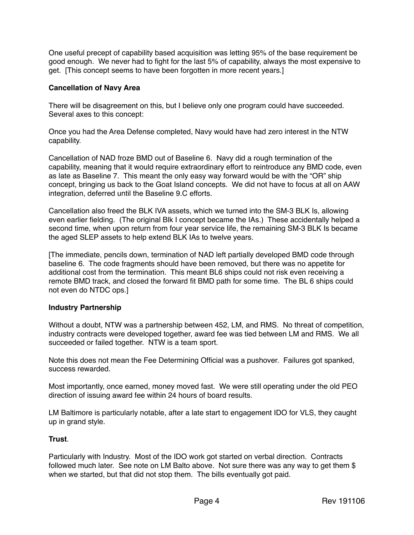One useful precept of capability based acquisition was letting 95% of the base requirement be good enough. We never had to fight for the last 5% of capability, always the most expensive to get. [This concept seems to have been forgotten in more recent years.]

## **Cancellation of Navy Area**

There will be disagreement on this, but I believe only one program could have succeeded. Several axes to this concept:

Once you had the Area Defense completed, Navy would have had zero interest in the NTW capability.

Cancellation of NAD froze BMD out of Baseline 6. Navy did a rough termination of the capability, meaning that it would require extraordinary effort to reintroduce any BMD code, even as late as Baseline 7. This meant the only easy way forward would be with the "OR" ship concept, bringing us back to the Goat Island concepts. We did not have to focus at all on AAW integration, deferred until the Baseline 9.C efforts.

Cancellation also freed the BLK IVA assets, which we turned into the SM-3 BLK Is, allowing even earlier fielding. (The original Blk I concept became the IAs.) These accidentally helped a second time, when upon return from four year service life, the remaining SM-3 BLK Is became the aged SLEP assets to help extend BLK IAs to twelve years.

[The immediate, pencils down, termination of NAD left partially developed BMD code through baseline 6. The code fragments should have been removed, but there was no appetite for additional cost from the termination. This meant BL6 ships could not risk even receiving a remote BMD track, and closed the forward fit BMD path for some time. The BL 6 ships could not even do NTDC ops.]

### **Industry Partnership**

Without a doubt, NTW was a partnership between 452, LM, and RMS. No threat of competition, industry contracts were developed together, award fee was tied between LM and RMS. We all succeeded or failed together. NTW is a team sport.

Note this does not mean the Fee Determining Official was a pushover. Failures got spanked, success rewarded.

Most importantly, once earned, money moved fast. We were still operating under the old PEO direction of issuing award fee within 24 hours of board results.

LM Baltimore is particularly notable, after a late start to engagement IDO for VLS, they caught up in grand style.

# **Trust**.

Particularly with Industry. Most of the IDO work got started on verbal direction. Contracts followed much later. See note on LM Balto above. Not sure there was any way to get them \$ when we started, but that did not stop them. The bills eventually got paid.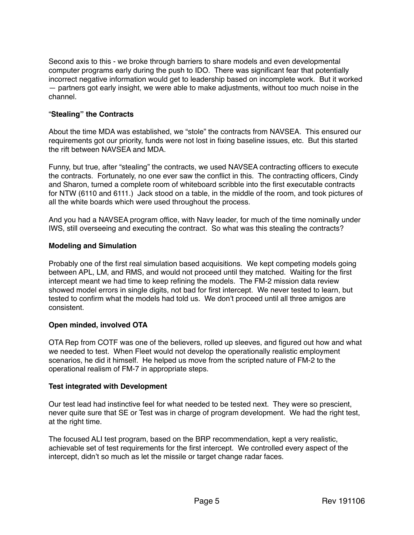Second axis to this - we broke through barriers to share models and even developmental computer programs early during the push to IDO. There was significant fear that potentially incorrect negative information would get to leadership based on incomplete work. But it worked — partners got early insight, we were able to make adjustments, without too much noise in the channel.

## "**Stealing" the Contracts**

About the time MDA was established, we "stole" the contracts from NAVSEA. This ensured our requirements got our priority, funds were not lost in fixing baseline issues, etc. But this started the rift between NAVSEA and MDA.

Funny, but true, after "stealing" the contracts, we used NAVSEA contracting officers to execute the contracts. Fortunately, no one ever saw the conflict in this. The contracting officers, Cindy and Sharon, turned a complete room of whiteboard scribble into the first executable contracts for NTW (6110 and 6111.) Jack stood on a table, in the middle of the room, and took pictures of all the white boards which were used throughout the process.

And you had a NAVSEA program office, with Navy leader, for much of the time nominally under IWS, still overseeing and executing the contract. So what was this stealing the contracts?

### **Modeling and Simulation**

Probably one of the first real simulation based acquisitions. We kept competing models going between APL, LM, and RMS, and would not proceed until they matched. Waiting for the first intercept meant we had time to keep refining the models. The FM-2 mission data review showed model errors in single digits, not bad for first intercept. We never tested to learn, but tested to confirm what the models had told us. We don't proceed until all three amigos are consistent.

# **Open minded, involved OTA**

OTA Rep from COTF was one of the believers, rolled up sleeves, and figured out how and what we needed to test. When Fleet would not develop the operationally realistic employment scenarios, he did it himself. He helped us move from the scripted nature of FM-2 to the operational realism of FM-7 in appropriate steps.

### **Test integrated with Development**

Our test lead had instinctive feel for what needed to be tested next. They were so prescient, never quite sure that SE or Test was in charge of program development. We had the right test, at the right time.

The focused ALI test program, based on the BRP recommendation, kept a very realistic, achievable set of test requirements for the first intercept. We controlled every aspect of the intercept, didn't so much as let the missile or target change radar faces.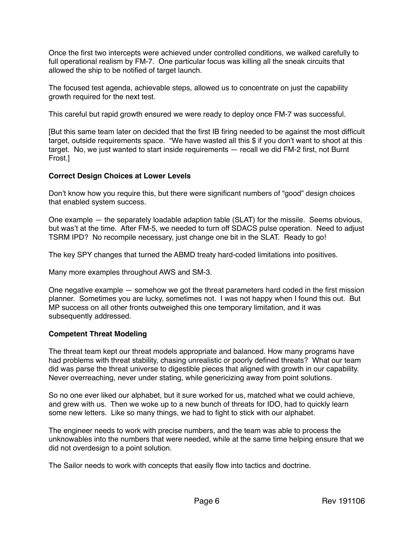Once the first two intercepts were achieved under controlled conditions, we walked carefully to full operational realism by FM-7. One particular focus was killing all the sneak circuits that allowed the ship to be notified of target launch.

The focused test agenda, achievable steps, allowed us to concentrate on just the capability growth required for the next test.

This careful but rapid growth ensured we were ready to deploy once FM-7 was successful.

[But this same team later on decided that the first IB firing needed to be against the most difficult target, outside requirements space. "We have wasted all this \$ if you don't want to shoot at this target. No, we just wanted to start inside requirements — recall we did FM-2 first, not Burnt Frost.]

## **Correct Design Choices at Lower Levels**

Don't know how you require this, but there were significant numbers of "good" design choices that enabled system success.

One example — the separately loadable adaption table (SLAT) for the missile. Seems obvious, but was't at the time. After FM-5, we needed to turn off SDACS pulse operation. Need to adjust TSRM IPD? No recompile necessary, just change one bit in the SLAT. Ready to go!

The key SPY changes that turned the ABMD treaty hard-coded limitations into positives.

Many more examples throughout AWS and SM-3.

One negative example — somehow we got the threat parameters hard coded in the first mission planner. Sometimes you are lucky, sometimes not. I was not happy when I found this out. But MP success on all other fronts outweighed this one temporary limitation, and it was subsequently addressed.

# **Competent Threat Modeling**

The threat team kept our threat models appropriate and balanced. How many programs have had problems with threat stability, chasing unrealistic or poorly defined threats? What our team did was parse the threat universe to digestible pieces that aligned with growth in our capability. Never overreaching, never under stating, while genericizing away from point solutions.

So no one ever liked our alphabet, but it sure worked for us, matched what we could achieve, and grew with us. Then we woke up to a new bunch of threats for IDO, had to quickly learn some new letters. Like so many things, we had to fight to stick with our alphabet.

The engineer needs to work with precise numbers, and the team was able to process the unknowables into the numbers that were needed, while at the same time helping ensure that we did not overdesign to a point solution.

The Sailor needs to work with concepts that easily flow into tactics and doctrine.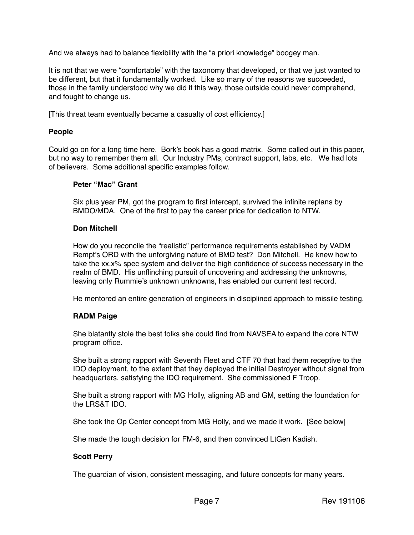And we always had to balance flexibility with the "a priori knowledge" boogey man.

It is not that we were "comfortable" with the taxonomy that developed, or that we just wanted to be different, but that it fundamentally worked. Like so many of the reasons we succeeded, those in the family understood why we did it this way, those outside could never comprehend, and fought to change us.

[This threat team eventually became a casualty of cost efficiency.]

#### **People**

Could go on for a long time here. Bork's book has a good matrix. Some called out in this paper, but no way to remember them all. Our Industry PMs, contract support, labs, etc. We had lots of believers. Some additional specific examples follow.

#### **Peter "Mac" Grant**

Six plus year PM, got the program to first intercept, survived the infinite replans by BMDO/MDA. One of the first to pay the career price for dedication to NTW.

#### **Don Mitchell**

How do you reconcile the "realistic" performance requirements established by VADM Rempt's ORD with the unforgiving nature of BMD test? Don Mitchell. He knew how to take the xx.x% spec system and deliver the high confidence of success necessary in the realm of BMD. His unflinching pursuit of uncovering and addressing the unknowns, leaving only Rummie's unknown unknowns, has enabled our current test record.

He mentored an entire generation of engineers in disciplined approach to missile testing.

### **RADM Paige**

She blatantly stole the best folks she could find from NAVSEA to expand the core NTW program office.

She built a strong rapport with Seventh Fleet and CTF 70 that had them receptive to the IDO deployment, to the extent that they deployed the initial Destroyer without signal from headquarters, satisfying the IDO requirement. She commissioned F Troop.

She built a strong rapport with MG Holly, aligning AB and GM, setting the foundation for the LRS&T IDO.

She took the Op Center concept from MG Holly, and we made it work. [See below]

She made the tough decision for FM-6, and then convinced LtGen Kadish.

### **Scott Perry**

The guardian of vision, consistent messaging, and future concepts for many years.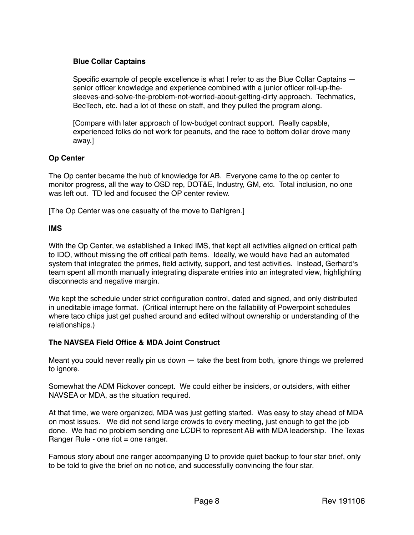# **Blue Collar Captains**

Specific example of people excellence is what I refer to as the Blue Collar Captains senior officer knowledge and experience combined with a junior officer roll-up-thesleeves-and-solve-the-problem-not-worried-about-getting-dirty approach. Techmatics, BecTech, etc. had a lot of these on staff, and they pulled the program along.

[Compare with later approach of low-budget contract support. Really capable, experienced folks do not work for peanuts, and the race to bottom dollar drove many away.]

## **Op Center**

The Op center became the hub of knowledge for AB. Everyone came to the op center to monitor progress, all the way to OSD rep, DOT&E, Industry, GM, etc. Total inclusion, no one was left out. TD led and focused the OP center review.

[The Op Center was one casualty of the move to Dahlgren.]

### **IMS**

With the Op Center, we established a linked IMS, that kept all activities aligned on critical path to IDO, without missing the off critical path items. Ideally, we would have had an automated system that integrated the primes, field activity, support, and test activities. Instead, Gerhard's team spent all month manually integrating disparate entries into an integrated view, highlighting disconnects and negative margin.

We kept the schedule under strict configuration control, dated and signed, and only distributed in uneditable image format. (Critical interrupt here on the fallability of Powerpoint schedules where taco chips just get pushed around and edited without ownership or understanding of the relationships.)

# **The NAVSEA Field Office & MDA Joint Construct**

Meant you could never really pin us down — take the best from both, ignore things we preferred to ignore.

Somewhat the ADM Rickover concept. We could either be insiders, or outsiders, with either NAVSEA or MDA, as the situation required.

At that time, we were organized, MDA was just getting started. Was easy to stay ahead of MDA on most issues. We did not send large crowds to every meeting, just enough to get the job done. We had no problem sending one LCDR to represent AB with MDA leadership. The Texas Ranger Rule - one riot = one ranger.

Famous story about one ranger accompanying D to provide quiet backup to four star brief, only to be told to give the brief on no notice, and successfully convincing the four star.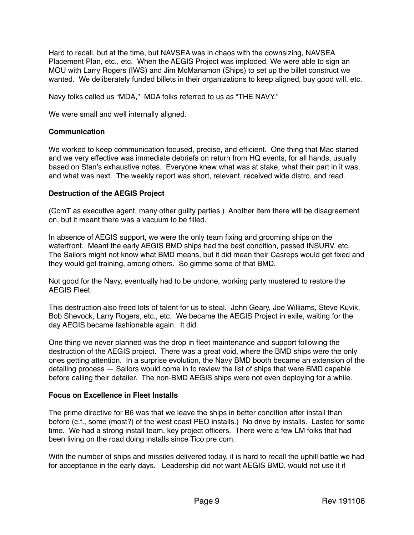Hard to recall, but at the time, but NAVSEA was in chaos with the downsizing, NAVSEA Placement Plan, etc., etc. When the AEGIS Project was imploded, We were able to sign an MOU with Larry Rogers (IWS) and Jim McManamon (Ships) to set up the billet construct we wanted. We deliberately funded billets in their organizations to keep aligned, buy good will, etc.

Navy folks called us "MDA," MDA folks referred to us as "THE NAVY."

We were small and well internally aligned.

### **Communication**

We worked to keep communication focused, precise, and efficient. One thing that Mac started and we very effective was immediate debriefs on return from HQ events, for all hands, usually based on Stan's exhaustive notes. Everyone knew what was at stake, what their part in it was, and what was next. The weekly report was short, relevant, received wide distro, and read.

#### **Destruction of the AEGIS Project**

(CcmT as executive agent, many other guilty parties.) Another item there will be disagreement on, but it meant there was a vacuum to be filled.

In absence of AEGIS support, we were the only team fixing and grooming ships on the waterfront. Meant the early AEGIS BMD ships had the best condition, passed INSURV, etc. The Sailors might not know what BMD means, but it did mean their Casreps would get fixed and they would get training, among others. So gimme some of that BMD.

Not good for the Navy, eventually had to be undone, working party mustered to restore the AEGIS Fleet.

This destruction also freed lots of talent for us to steal. John Geary, Joe Williams, Steve Kuvik, Bob Shevock, Larry Rogers, etc., etc. We became the AEGIS Project in exile, waiting for the day AEGIS became fashionable again. It did.

One thing we never planned was the drop in fleet maintenance and support following the destruction of the AEGIS project. There was a great void, where the BMD ships were the only ones getting attention. In a surprise evolution, the Navy BMD booth became an extension of the detailing process — Sailors would come in to review the list of ships that were BMD capable before calling their detailer. The non-BMD AEGIS ships were not even deploying for a while.

#### **Focus on Excellence in Fleet Installs**

The prime directive for B6 was that we leave the ships in better condition after install than before (c.f., some (most?) of the west coast PEO installs.) No drive by installs. Lasted for some time. We had a strong install team, key project officers. There were a few LM folks that had been living on the road doing installs since Tico pre com.

With the number of ships and missiles delivered today, it is hard to recall the uphill battle we had for acceptance in the early days. Leadership did not want AEGIS BMD, would not use it if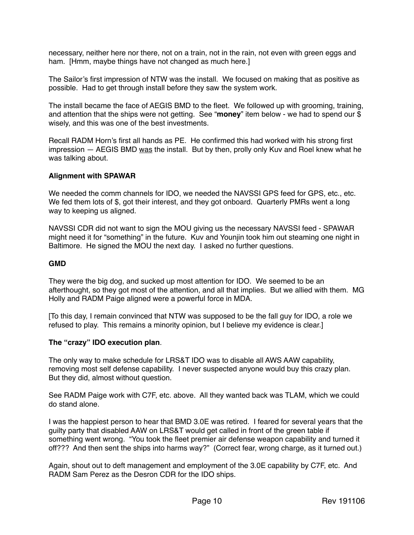necessary, neither here nor there, not on a train, not in the rain, not even with green eggs and ham. [Hmm, maybe things have not changed as much here.]

The Sailor's first impression of NTW was the install. We focused on making that as positive as possible. Had to get through install before they saw the system work.

The install became the face of AEGIS BMD to the fleet. We followed up with grooming, training, and attention that the ships were not getting. See "**money**" item below - we had to spend our \$ wisely, and this was one of the best investments.

Recall RADM Horn's first all hands as PE. He confirmed this had worked with his strong first impression — AEGIS BMD was the install. But by then, prolly only Kuv and Roel knew what he was talking about.

# **Alignment with SPAWAR**

We needed the comm channels for IDO, we needed the NAVSSI GPS feed for GPS, etc., etc. We fed them lots of \$, got their interest, and they got onboard. Quarterly PMRs went a long way to keeping us aligned.

NAVSSI CDR did not want to sign the MOU giving us the necessary NAVSSI feed - SPAWAR might need it for "something" in the future. Kuv and Younjin took him out steaming one night in Baltimore. He signed the MOU the next day. I asked no further questions.

### **GMD**

They were the big dog, and sucked up most attention for IDO. We seemed to be an afterthought, so they got most of the attention, and all that implies. But we allied with them. MG Holly and RADM Paige aligned were a powerful force in MDA.

[To this day, I remain convinced that NTW was supposed to be the fall guy for IDO, a role we refused to play. This remains a minority opinion, but I believe my evidence is clear.]

### **The "crazy" IDO execution plan**.

The only way to make schedule for LRS&T IDO was to disable all AWS AAW capability, removing most self defense capability. I never suspected anyone would buy this crazy plan. But they did, almost without question.

See RADM Paige work with C7F, etc. above. All they wanted back was TLAM, which we could do stand alone.

I was the happiest person to hear that BMD 3.0E was retired. I feared for several years that the guilty party that disabled AAW on LRS&T would get called in front of the green table if something went wrong. "You took the fleet premier air defense weapon capability and turned it off??? And then sent the ships into harms way?" (Correct fear, wrong charge, as it turned out.)

Again, shout out to deft management and employment of the 3.0E capability by C7F, etc. And RADM Sam Perez as the Desron CDR for the IDO ships.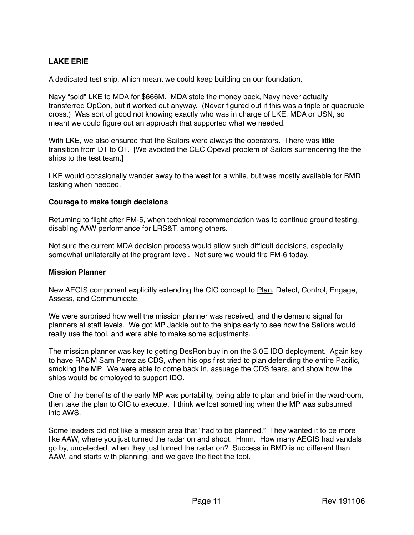# **LAKE ERIE**

A dedicated test ship, which meant we could keep building on our foundation.

Navy "sold" LKE to MDA for \$666M. MDA stole the money back, Navy never actually transferred OpCon, but it worked out anyway. (Never figured out if this was a triple or quadruple cross.) Was sort of good not knowing exactly who was in charge of LKE, MDA or USN, so meant we could figure out an approach that supported what we needed.

With LKE, we also ensured that the Sailors were always the operators. There was little transition from DT to OT. [We avoided the CEC Opeval problem of Sailors surrendering the the ships to the test team.]

LKE would occasionally wander away to the west for a while, but was mostly available for BMD tasking when needed.

#### **Courage to make tough decisions**

Returning to flight after FM-5, when technical recommendation was to continue ground testing, disabling AAW performance for LRS&T, among others.

Not sure the current MDA decision process would allow such difficult decisions, especially somewhat unilaterally at the program level. Not sure we would fire FM-6 today.

#### **Mission Planner**

New AEGIS component explicitly extending the CIC concept to Plan, Detect, Control, Engage, Assess, and Communicate.

We were surprised how well the mission planner was received, and the demand signal for planners at staff levels. We got MP Jackie out to the ships early to see how the Sailors would really use the tool, and were able to make some adjustments.

The mission planner was key to getting DesRon buy in on the 3.0E IDO deployment. Again key to have RADM Sam Perez as CDS, when his ops first tried to plan defending the entire Pacific, smoking the MP. We were able to come back in, assuage the CDS fears, and show how the ships would be employed to support IDO.

One of the benefits of the early MP was portability, being able to plan and brief in the wardroom, then take the plan to CIC to execute. I think we lost something when the MP was subsumed into AWS.

Some leaders did not like a mission area that "had to be planned." They wanted it to be more like AAW, where you just turned the radar on and shoot. Hmm. How many AEGIS had vandals go by, undetected, when they just turned the radar on? Success in BMD is no different than AAW, and starts with planning, and we gave the fleet the tool.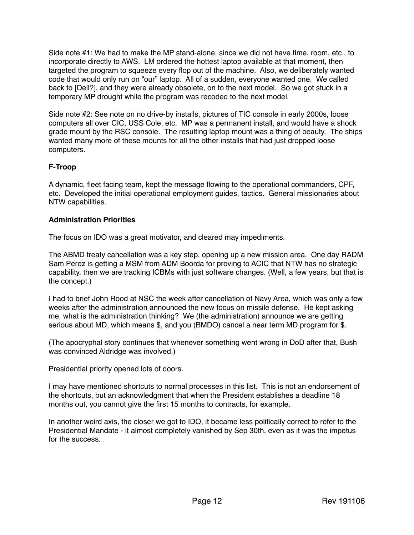Side note #1: We had to make the MP stand-alone, since we did not have time, room, etc., to incorporate directly to AWS. LM ordered the hottest laptop available at that moment, then targeted the program to squeeze every flop out of the machine. Also, we deliberately wanted code that would only run on "our" laptop. All of a sudden, everyone wanted one. We called back to [Dell?], and they were already obsolete, on to the next model. So we got stuck in a temporary MP drought while the program was recoded to the next model.

Side note #2: See note on no drive-by installs, pictures of TIC console in early 2000s, loose computers all over CIC, USS Cole, etc. MP was a permanent install, and would have a shock grade mount by the RSC console. The resulting laptop mount was a thing of beauty. The ships wanted many more of these mounts for all the other installs that had just dropped loose computers.

## **F-Troop**

A dynamic, fleet facing team, kept the message flowing to the operational commanders, CPF, etc. Developed the initial operational employment guides, tactics. General missionaries about NTW capabilities.

### **Administration Priorities**

The focus on IDO was a great motivator, and cleared may impediments.

The ABMD treaty cancellation was a key step, opening up a new mission area. One day RADM Sam Perez is getting a MSM from ADM Boorda for proving to ACIC that NTW has no strategic capability, then we are tracking ICBMs with just software changes. (Well, a few years, but that is the concept.)

I had to brief John Rood at NSC the week after cancellation of Navy Area, which was only a few weeks after the administration announced the new focus on missile defense. He kept asking me, what is the administration thinking? We (the administration) announce we are getting serious about MD, which means \$, and you (BMDO) cancel a near term MD program for \$.

(The apocryphal story continues that whenever something went wrong in DoD after that, Bush was convinced Aldridge was involved.)

Presidential priority opened lots of doors.

I may have mentioned shortcuts to normal processes in this list. This is not an endorsement of the shortcuts, but an acknowledgment that when the President establishes a deadline 18 months out, you cannot give the first 15 months to contracts, for example.

In another weird axis, the closer we got to IDO, it became less politically correct to refer to the Presidential Mandate - it almost completely vanished by Sep 30th, even as it was the impetus for the success.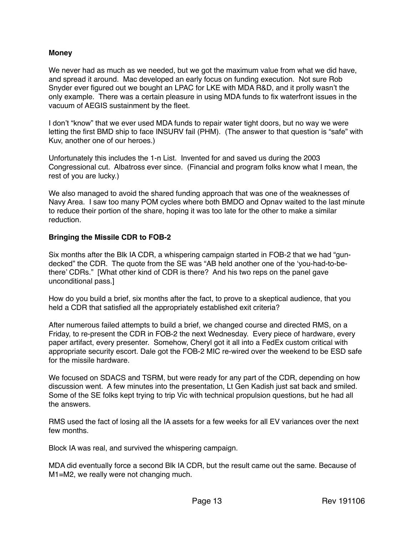### **Money**

We never had as much as we needed, but we got the maximum value from what we did have, and spread it around. Mac developed an early focus on funding execution. Not sure Rob Snyder ever figured out we bought an LPAC for LKE with MDA R&D, and it prolly wasn't the only example. There was a certain pleasure in using MDA funds to fix waterfront issues in the vacuum of AEGIS sustainment by the fleet.

I don't "know" that we ever used MDA funds to repair water tight doors, but no way we were letting the first BMD ship to face INSURV fail (PHM). (The answer to that question is "safe" with Kuv, another one of our heroes.)

Unfortunately this includes the 1-n List. Invented for and saved us during the 2003 Congressional cut. Albatross ever since. (Financial and program folks know what I mean, the rest of you are lucky.)

We also managed to avoid the shared funding approach that was one of the weaknesses of Navy Area. I saw too many POM cycles where both BMDO and Opnav waited to the last minute to reduce their portion of the share, hoping it was too late for the other to make a similar reduction.

### **Bringing the Missile CDR to FOB-2**

Six months after the Blk IA CDR, a whispering campaign started in FOB-2 that we had "gundecked" the CDR. The quote from the SE was "AB held another one of the 'you-had-to-bethere' CDRs." [What other kind of CDR is there? And his two reps on the panel gave unconditional pass.]

How do you build a brief, six months after the fact, to prove to a skeptical audience, that you held a CDR that satisfied all the appropriately established exit criteria?

After numerous failed attempts to build a brief, we changed course and directed RMS, on a Friday, to re-present the CDR in FOB-2 the next Wednesday. Every piece of hardware, every paper artifact, every presenter. Somehow, Cheryl got it all into a FedEx custom critical with appropriate security escort. Dale got the FOB-2 MIC re-wired over the weekend to be ESD safe for the missile hardware.

We focused on SDACS and TSRM, but were ready for any part of the CDR, depending on how discussion went. A few minutes into the presentation, Lt Gen Kadish just sat back and smiled. Some of the SE folks kept trying to trip Vic with technical propulsion questions, but he had all the answers.

RMS used the fact of losing all the IA assets for a few weeks for all EV variances over the next few months.

Block IA was real, and survived the whispering campaign.

MDA did eventually force a second Blk IA CDR, but the result came out the same. Because of M1=M2, we really were not changing much.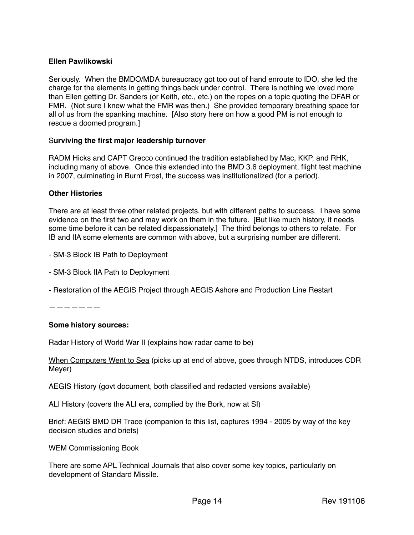### **Ellen Pawlikowski**

Seriously. When the BMDO/MDA bureaucracy got too out of hand enroute to IDO, she led the charge for the elements in getting things back under control. There is nothing we loved more than Ellen getting Dr. Sanders (or Keith, etc., etc.) on the ropes on a topic quoting the DFAR or FMR. (Not sure I knew what the FMR was then.) She provided temporary breathing space for all of us from the spanking machine. [Also story here on how a good PM is not enough to rescue a doomed program.]

### S**urviving the first major leadership turnover**

RADM Hicks and CAPT Grecco continued the tradition established by Mac, KKP, and RHK, including many of above. Once this extended into the BMD 3.6 deployment, flight test machine in 2007, culminating in Burnt Frost, the success was institutionalized (for a period).

### **Other Histories**

There are at least three other related projects, but with different paths to success. I have some evidence on the first two and may work on them in the future. [But like much history, it needs some time before it can be related dispassionately.] The third belongs to others to relate. For IB and IIA some elements are common with above, but a surprising number are different.

- SM-3 Block IB Path to Deployment
- SM-3 Block IIA Path to Deployment
- Restoration of the AEGIS Project through AEGIS Ashore and Production Line Restart

———————

### **Some history sources:**

Radar History of World War II (explains how radar came to be)

When Computers Went to Sea (picks up at end of above, goes through NTDS, introduces CDR Meyer)

AEGIS History (govt document, both classified and redacted versions available)

ALI History (covers the ALI era, complied by the Bork, now at SI)

Brief: AEGIS BMD DR Trace (companion to this list, captures 1994 - 2005 by way of the key decision studies and briefs)

WEM Commissioning Book

There are some APL Technical Journals that also cover some key topics, particularly on development of Standard Missile.